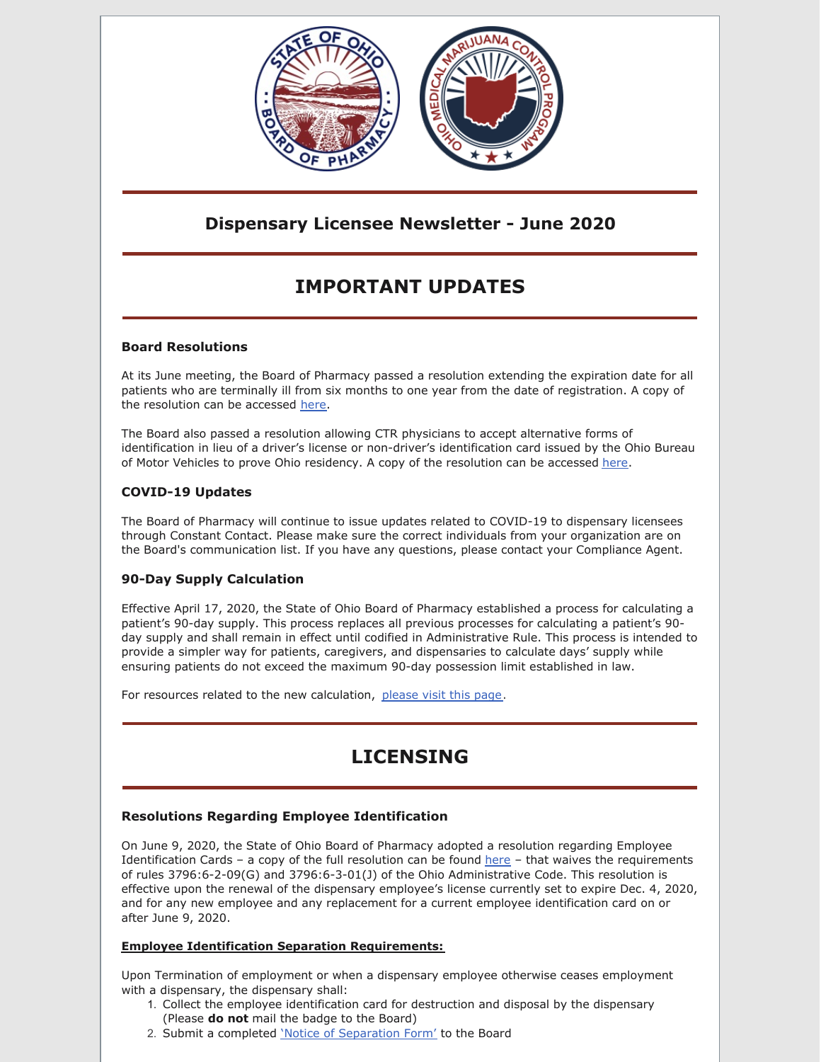

## **Dispensary Licensee Newsletter - June 2020**

# **IMPORTANT UPDATES**

### **Board Resolutions**

At its June meeting, the Board of Pharmacy passed a resolution extending the expiration date for all patients who are terminally ill from six months to one year from the date of registration. A copy of the resolution can be accessed [here](https://medicalmarijuana.ohio.gov/Documents/PatientsCaregivers/Extension of Registration Period for Terminally Ill Patients.pdf).

The Board also passed a resolution allowing CTR physicians to accept alternative forms of identification in lieu of a driver's license or non-driver's identification card issued by the Ohio Bureau of Motor Vehicles to prove Ohio residency. A copy of the resolution can be accessed [here](https://medicalmarijuana.ohio.gov/Documents/PatientsCaregivers/Other Forms of Identification Approved by the Board of Pharmacy to Demonstrate Ohio Residency.pdf).

### **COVID-19 Updates**

The Board of Pharmacy will continue to issue updates related to COVID-19 to dispensary licensees through Constant Contact. Please make sure the correct individuals from your organization are on the Board's communication list. If you have any questions, please contact your Compliance Agent.

### **90-Day Supply Calculation**

Effective April 17, 2020, the State of Ohio Board of Pharmacy established a process for calculating a patient's 90-day supply. This process replaces all previous processes for calculating a patient's 90 day supply and shall remain in effect until codified in Administrative Rule. This process is intended to provide a simpler way for patients, caregivers, and dispensaries to calculate days' supply while ensuring patients do not exceed the maximum 90-day possession limit established in law.

For resources related to the new calculation, [please](https://www.medicalmarijuana.ohio.gov/90DaySupply) visit this page.

# **LICENSING**

### **Resolutions Regarding Employee Identification**

On June 9, 2020, the State of Ohio Board of Pharmacy adopted a resolution regarding Employee Identification Cards – a copy of the full resolution can be found [here](https://medicalmarijuana.ohio.gov/Documents/LicenseeResources/Dispensary Licensee Resources/DISPENSARY EMPLOYEE LICENSING/Medical Marijuana Employee Identification Cards.pdf) – that waives the requirements of rules 3796:6-2-09(G) and 3796:6-3-01(J) of the Ohio Administrative Code. This resolution is effective upon the renewal of the dispensary employee's license currently set to expire Dec. 4, 2020, and for any new employee and any replacement for a current employee identification card on or after June 9, 2020.

#### **Employee Identification Separation Requirements:**

Upon Termination of employment or when a dispensary employee otherwise ceases employment with a dispensary, the dispensary shall:

- 1. Collect the employee identification card for destruction and disposal by the dispensary (Please **do not** mail the badge to the Board)
- 2. Submit a completed 'Notice of [Separation](https://medicalmarijuana.ohio.gov/Documents/LicenseeResources/Dispensary Licensee Resources/DISPENSARY EMPLOYEE LICENSING/Employee Separation Form.pdf) Form' to the Board